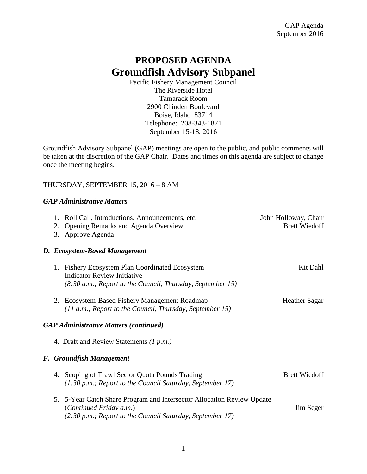# **PROPOSED AGENDA Groundfish Advisory Subpanel**

Pacific Fishery Management Council The Riverside Hotel Tamarack Room 2900 Chinden Boulevard Boise, Idaho 83714 Telephone: 208-343-1871 September 15-18, 2016

Groundfish Advisory Subpanel (GAP) meetings are open to the public, and public comments will be taken at the discretion of the GAP Chair. Dates and times on this agenda are subject to change once the meeting begins.

### THURSDAY, SEPTEMBER 15, 2016 – 8 AM

#### *GAP Administrative Matters*

|                                               |                          | 1. Roll Call, Introductions, Announcements, etc.<br>2. Opening Remarks and Agenda Overview<br>3. Approve Agenda                                                | John Holloway, Chair<br><b>Brett Wiedoff</b> |  |  |
|-----------------------------------------------|--------------------------|----------------------------------------------------------------------------------------------------------------------------------------------------------------|----------------------------------------------|--|--|
|                                               |                          | D. Ecosystem-Based Management                                                                                                                                  |                                              |  |  |
|                                               |                          | 1. Fishery Ecosystem Plan Coordinated Ecosystem<br><b>Indicator Review Initiative</b><br>$(8:30 a.m.;$ Report to the Council, Thursday, September 15)          | Kit Dahl                                     |  |  |
|                                               |                          | 2. Ecosystem-Based Fishery Management Roadmap<br>$(11 a.m.; Report to the Council, Thursday, September 15)$                                                    | <b>Heather Sagar</b>                         |  |  |
| <b>GAP Administrative Matters (continued)</b> |                          |                                                                                                                                                                |                                              |  |  |
|                                               |                          | 4. Draft and Review Statements $(1 p.m.)$                                                                                                                      |                                              |  |  |
|                                               | F. Groundfish Management |                                                                                                                                                                |                                              |  |  |
|                                               |                          | 4. Scoping of Trawl Sector Quota Pounds Trading<br>$(1:30 p.m.; Report to the Council Saturday, September 17)$                                                 | <b>Brett Wiedoff</b>                         |  |  |
|                                               |                          | 5. 5-Year Catch Share Program and Intersector Allocation Review Update<br>(Continued Friday a.m.)<br>(2:30 p.m.; Report to the Council Saturday, September 17) | Jim Seger                                    |  |  |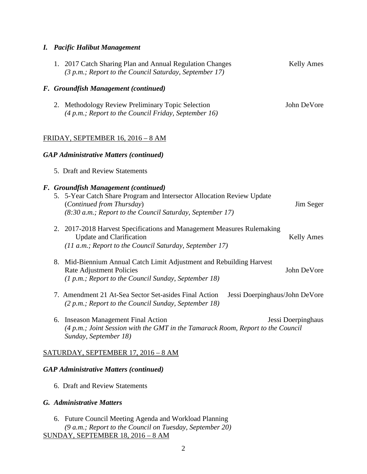## *I. Pacific Halibut Management*

|                                               |                                      | 1. 2017 Catch Sharing Plan and Annual Regulation Changes<br>(3 p.m.; Report to the Council Saturday, September 17)                                                                                       | <b>Kelly Ames</b>              |  |  |
|-----------------------------------------------|--------------------------------------|----------------------------------------------------------------------------------------------------------------------------------------------------------------------------------------------------------|--------------------------------|--|--|
|                                               | F. Groundfish Management (continued) |                                                                                                                                                                                                          |                                |  |  |
|                                               |                                      | 2. Methodology Review Preliminary Topic Selection<br>(4 p.m.; Report to the Council Friday, September 16)                                                                                                | John DeVore                    |  |  |
| FRIDAY, SEPTEMBER 16, 2016 - 8 AM             |                                      |                                                                                                                                                                                                          |                                |  |  |
| <b>GAP Administrative Matters (continued)</b> |                                      |                                                                                                                                                                                                          |                                |  |  |
|                                               |                                      | 5. Draft and Review Statements                                                                                                                                                                           |                                |  |  |
|                                               |                                      | F. Groundfish Management (continued)<br>5. 5-Year Catch Share Program and Intersector Allocation Review Update<br>(Continued from Thursday)<br>(8:30 a.m.; Report to the Council Saturday, September 17) | Jim Seger                      |  |  |
|                                               |                                      | 2. 2017-2018 Harvest Specifications and Management Measures Rulemaking<br><b>Update and Clarification</b><br>(11 a.m.; Report to the Council Saturday, September 17)                                     | <b>Kelly Ames</b>              |  |  |
|                                               |                                      | 8. Mid-Biennium Annual Catch Limit Adjustment and Rebuilding Harvest<br><b>Rate Adjustment Policies</b><br>(1 p.m.; Report to the Council Sunday, September 18)                                          | John DeVore                    |  |  |
|                                               |                                      | 7. Amendment 21 At-Sea Sector Set-asides Final Action<br>(2 p.m.; Report to the Council Sunday, September 18)                                                                                            | Jessi Doerpinghaus/John DeVore |  |  |
|                                               |                                      | 6. Inseason Management Final Action<br>(4 p.m.; Joint Session with the GMT in the Tamarack Room, Report to the Council<br>Sunday, September 18)                                                          | Jessi Doerpinghaus             |  |  |
|                                               |                                      | SATURDAY, SEPTEMBER 17, 2016 - 8 AM                                                                                                                                                                      |                                |  |  |
| <b>GAP Administrative Matters (continued)</b> |                                      |                                                                                                                                                                                                          |                                |  |  |
| 6. Draft and Review Statements                |                                      |                                                                                                                                                                                                          |                                |  |  |
| G. Administrative Matters                     |                                      |                                                                                                                                                                                                          |                                |  |  |

6. Future Council Meeting Agenda and Workload Planning *(9 a.m.; Report to the Council on Tuesday, September 20)* SUNDAY, SEPTEMBER 18, 2016 – 8 AM